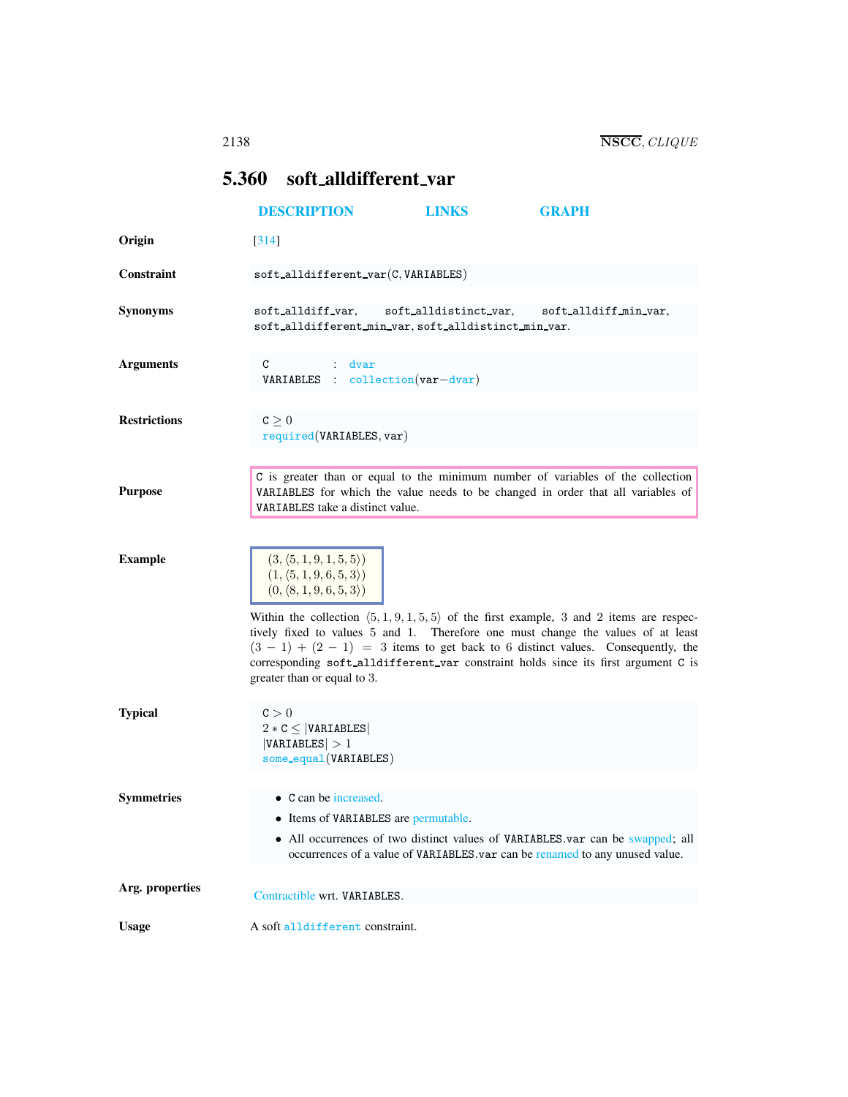# <span id="page-0-0"></span>5.360 soft alldifferent var

|                     | <b>DESCRIPTION</b>                                                                                                            | <b>LINKS</b>          | <b>GRAPH</b>                                                                                                                                                                                                                                                                                                                                                            |
|---------------------|-------------------------------------------------------------------------------------------------------------------------------|-----------------------|-------------------------------------------------------------------------------------------------------------------------------------------------------------------------------------------------------------------------------------------------------------------------------------------------------------------------------------------------------------------------|
| Origin              | [314]                                                                                                                         |                       |                                                                                                                                                                                                                                                                                                                                                                         |
| <b>Constraint</b>   | $\texttt{soft}_\texttt{alldifferent}_\texttt{var}(C,\texttt{VARIABLES})$                                                      |                       |                                                                                                                                                                                                                                                                                                                                                                         |
| <b>Synonyms</b>     | soft_alldiff_var,<br>soft_alldifferent_min_var, soft_alldistinct_min_var.                                                     | soft alldistinct var, | soft alldiff min var,                                                                                                                                                                                                                                                                                                                                                   |
| <b>Arguments</b>    | C<br>: dvar<br><b>VARIABLES</b> : collection $(var-dvar)$                                                                     |                       |                                                                                                                                                                                                                                                                                                                                                                         |
| <b>Restrictions</b> | c > 0<br>required(VARIABLES, var)                                                                                             |                       |                                                                                                                                                                                                                                                                                                                                                                         |
| <b>Purpose</b>      | VARIABLES take a distinct value.                                                                                              |                       | C is greater than or equal to the minimum number of variables of the collection<br>VARIABLES for which the value needs to be changed in order that all variables of                                                                                                                                                                                                     |
| <b>Example</b>      | $(3, \langle 5, 1, 9, 1, 5, 5 \rangle)$<br>$(1, \langle 5, 1, 9, 6, 5, 3 \rangle)$<br>$(0, \langle 8, 1, 9, 6, 5, 3 \rangle)$ |                       | Within the collection $\langle 5, 1, 9, 1, 5, 5 \rangle$ of the first example, 3 and 2 items are respec-<br>tively fixed to values 5 and 1. Therefore one must change the values of at least<br>$(3 - 1) + (2 - 1) = 3$ items to get back to 6 distinct values. Consequently, the<br>corresponding soft_alldifferent_var constraint holds since its first argument C is |
| <b>Typical</b>      | greater than or equal to 3.<br>C > 0<br>$2 * C \leq  VARIABLES $<br> VARIABLES  > 1<br>some_equal(VARIABLES)                  |                       |                                                                                                                                                                                                                                                                                                                                                                         |
| <b>Symmetries</b>   | • C can be increased.<br>• Items of VARIABLES are permutable.                                                                 |                       | • All occurrences of two distinct values of VARIABLES.var can be swapped; all<br>occurrences of a value of VARIABLES.var can be renamed to any unused value.                                                                                                                                                                                                            |
| Arg. properties     | Contractible wrt. VARIABLES.                                                                                                  |                       |                                                                                                                                                                                                                                                                                                                                                                         |
| <b>Usage</b>        | A soft alldifferent constraint.                                                                                               |                       |                                                                                                                                                                                                                                                                                                                                                                         |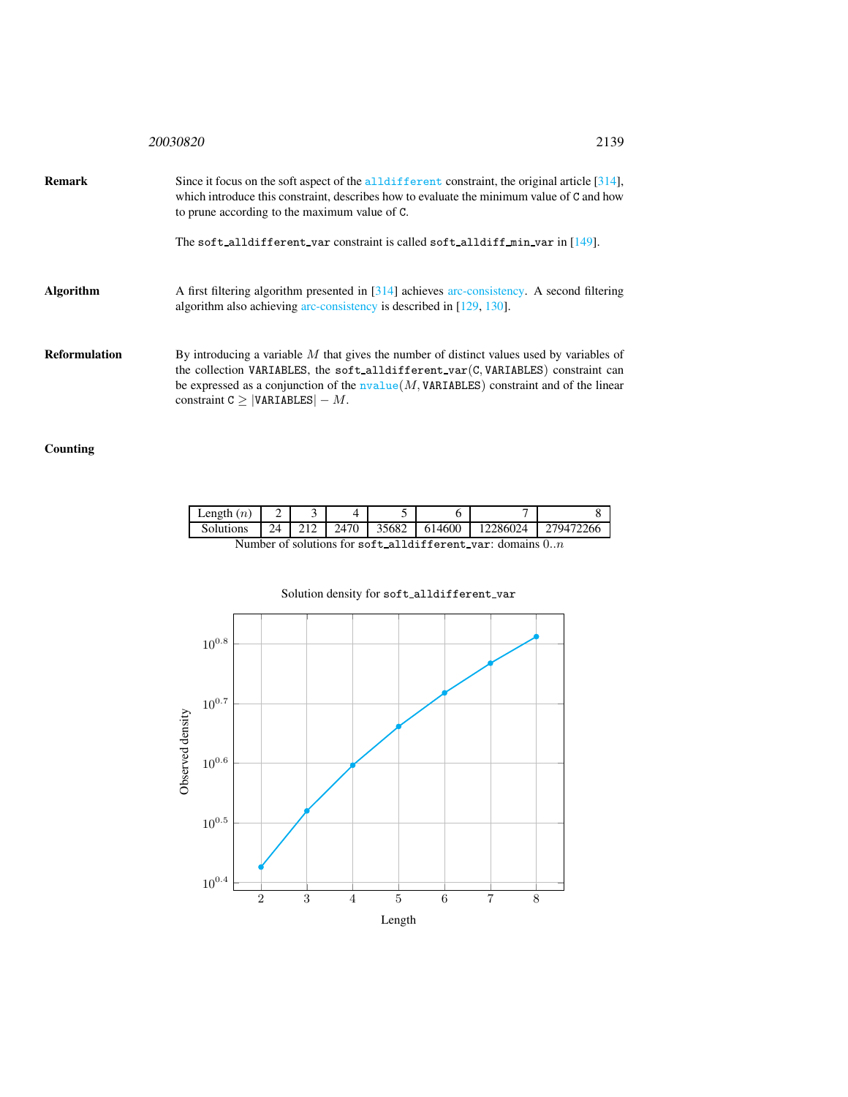|               | 20030820<br>2139                                                                                                                                                                                                                                                                                                                               |  |
|---------------|------------------------------------------------------------------------------------------------------------------------------------------------------------------------------------------------------------------------------------------------------------------------------------------------------------------------------------------------|--|
| Remark        | Since it focus on the soft aspect of the all different constraint, the original article $[314]$ ,<br>which introduce this constraint, describes how to evaluate the minimum value of C and how<br>to prune according to the maximum value of C.                                                                                                |  |
|               | The soft alldifferent var constraint is called soft alldiff $min$ var in $[149]$ .                                                                                                                                                                                                                                                             |  |
| Algorithm     | A first filtering algorithm presented in $\lceil 314 \rceil$ achieves arc-consistency. A second filtering<br>algorithm also achieving arc-consistency is described in [129, 130].                                                                                                                                                              |  |
| Reformulation | By introducing a variable $M$ that gives the number of distinct values used by variables of<br>the collection VARIABLES, the soft alldifferent var (C, VARIABLES) constraint can<br>be expressed as a conjunction of the $\overline{\text{nvalue}}(M, \text{VARIABLES})$ constraint and of the linear<br>constraint $C \geq  VARIABLES  - M$ . |  |

## Counting

| Length $(n)$                                                |  |              |      |       |        |          |             |
|-------------------------------------------------------------|--|--------------|------|-------|--------|----------|-------------|
| <b>Solutions</b>                                            |  | $24 \pm 212$ | 2470 | 35682 | 614600 | 12286024 | - 279472266 |
| Number of solutions for soft alldifferent var: domains $0n$ |  |              |      |       |        |          |             |

### Solution density for soft\_alldifferent\_var

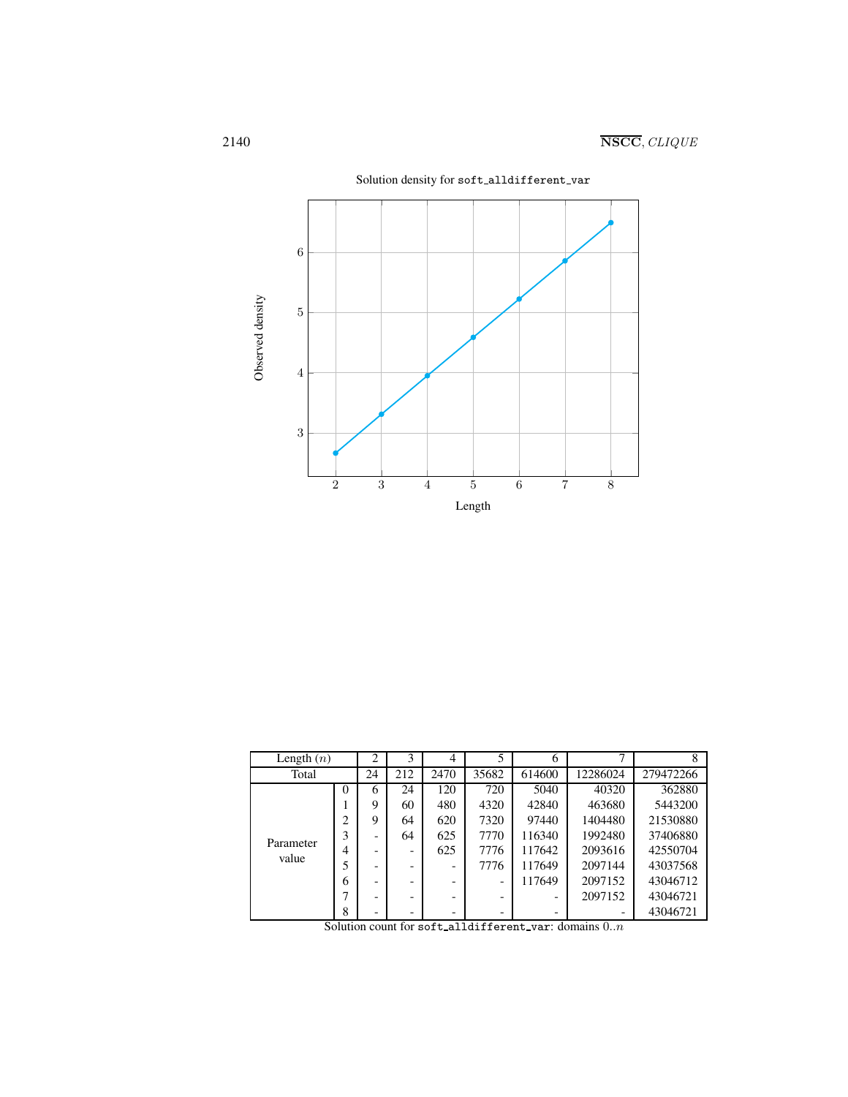

| Length $(n)$       |                | 2  | 3                        | 4    |                          | 6      |          |           |
|--------------------|----------------|----|--------------------------|------|--------------------------|--------|----------|-----------|
| Total              |                | 24 | 212                      | 2470 | 35682                    | 614600 | 12286024 | 279472266 |
| Parameter<br>value | $\Omega$       | 6  | 24                       | 120  | 720                      | 5040   | 40320    | 362880    |
|                    |                | 9  | 60                       | 480  | 4320                     | 42840  | 463680   | 5443200   |
|                    | ◠              | 9  | 64                       | 620  | 7320                     | 97440  | 1404480  | 21530880  |
|                    |                |    | 64                       | 625  | 7770                     | 116340 | 1992480  | 37406880  |
|                    | $\overline{4}$ |    | -                        | 625  | 7776                     | 117642 | 2093616  | 42550704  |
|                    |                |    | -                        | -    | 7776                     | 117649 | 2097144  | 43037568  |
|                    | 6              |    | $\overline{\phantom{0}}$ | -    |                          | 117649 | 2097152  | 43046712  |
|                    |                |    | -                        | ۰    | $\overline{\phantom{0}}$ | -      | 2097152  | 43046721  |
|                    | 8              | -  | -                        | -    | -                        | -      |          | 43046721  |

Solution count for soft alldifferent var: domains  $0..n$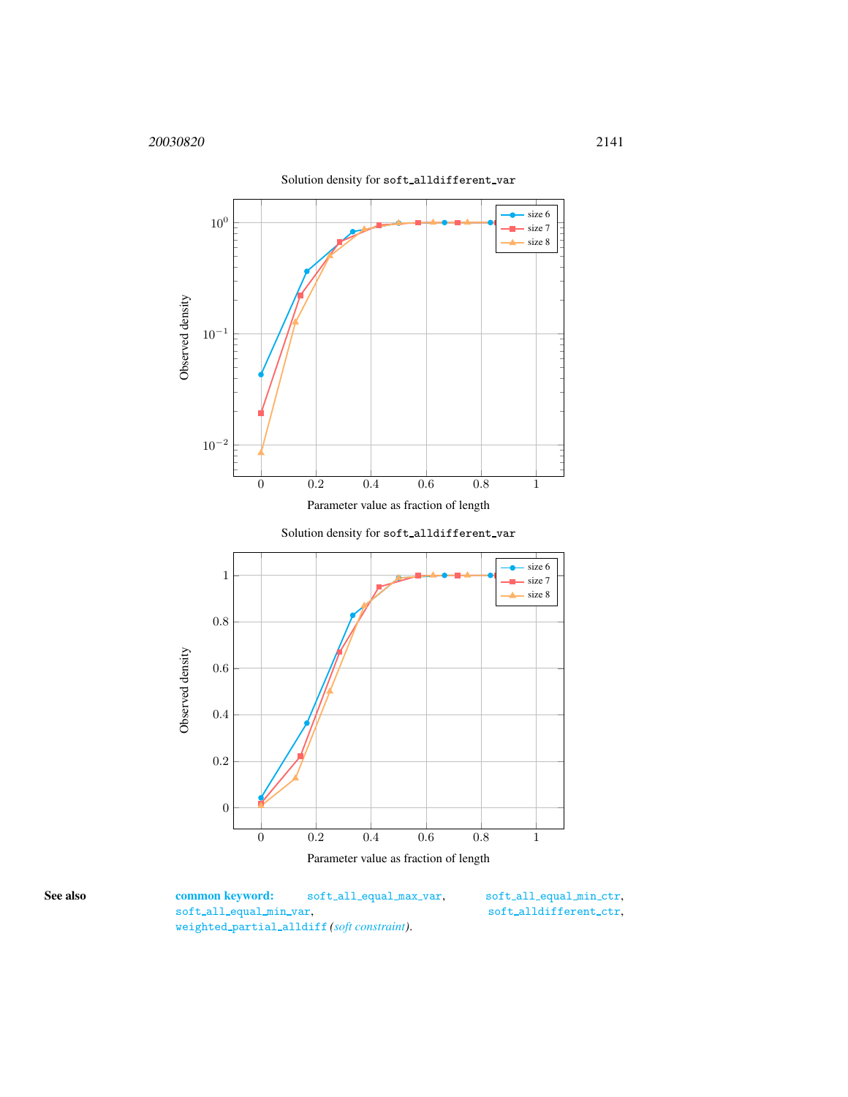

Parameter value as fraction of length

<span id="page-3-0"></span>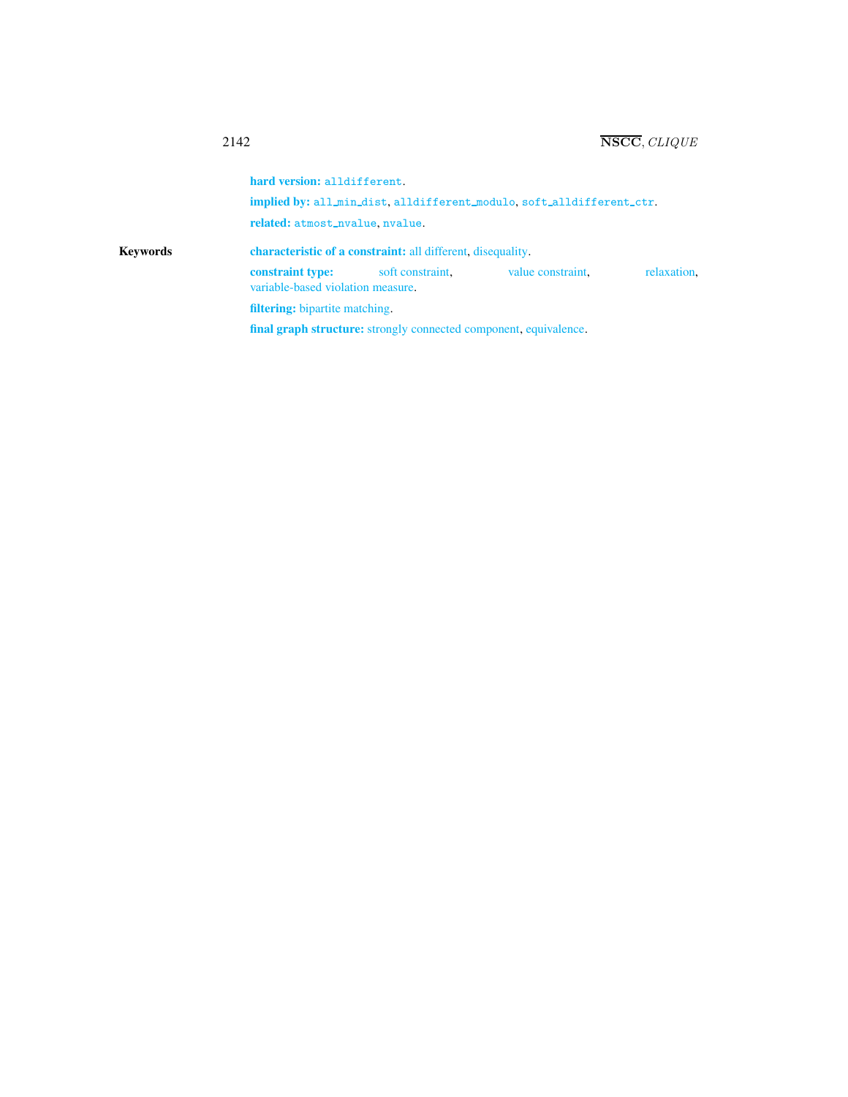hard version: alldifferent. implied by: all\_min\_dist, alldifferent\_modulo, soft\_alldifferent\_ctr. related: atmost\_nvalue, nvalue. Keywords characteristic of a constraint: all different, disequality. constraint type: soft constraint, value constraint, relaxation, variable-based violation measure. filtering: bipartite matching. final graph structure: strongly connected component, equivalence.